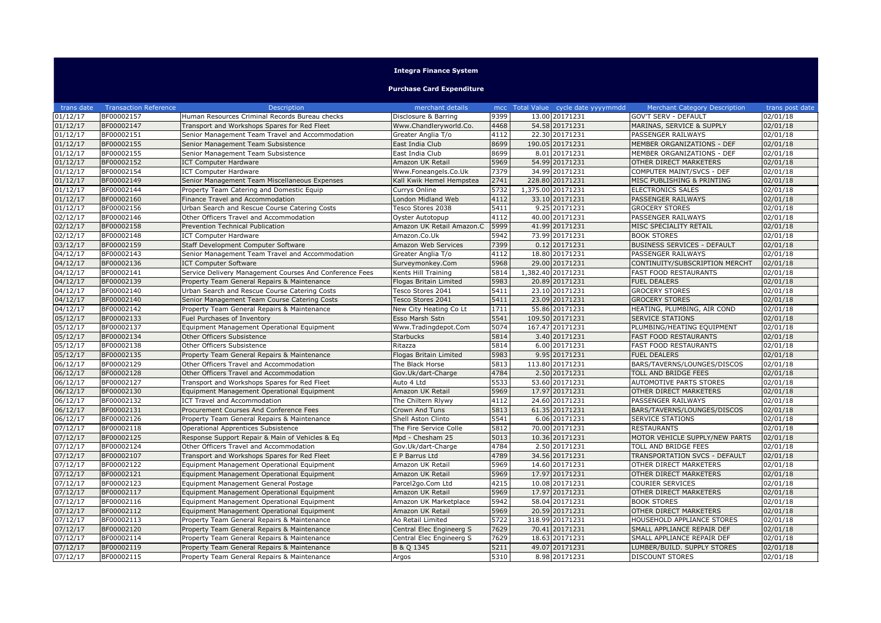## **Integra Finance System**

## **Purchase Card Expenditure**

| trans date            | <b>Transaction Reference</b> | Description                                             | merchant details          |      |                   | mcc Total Value cycle date yyyymmdd | <b>Merchant Category Description</b> | trans post date |
|-----------------------|------------------------------|---------------------------------------------------------|---------------------------|------|-------------------|-------------------------------------|--------------------------------------|-----------------|
| 01/12/17              | BF00002157                   | Human Resources Criminal Records Bureau checks          | Disclosure & Barring      | 9399 |                   | 13.00 20171231                      | <b>GOV'T SERV - DEFAULT</b>          | 02/01/18        |
| 01/12/17              | BF00002147                   | Transport and Workshops Spares for Red Fleet            | Www.Chandleryworld.Co.    | 4468 |                   | 54.58 20171231                      | MARINAS, SERVICE & SUPPLY            | 02/01/18        |
| 01/12/17              | BF00002151                   | Senior Management Team Travel and Accommodation         | Greater Anglia T/o        | 4112 |                   | 22.30 20171231                      | PASSENGER RAILWAYS                   | 02/01/18        |
| 01/12/17              | BF00002155                   | Senior Management Team Subsistence                      | East India Club           | 8699 |                   | 190.05 20171231                     | MEMBER ORGANIZATIONS - DEF           | 02/01/18        |
| 01/12/17              | BF00002155                   | Senior Management Team Subsistence                      | East India Club           | 8699 |                   | 8.01 20171231                       | MEMBER ORGANIZATIONS - DEF           | 02/01/18        |
| 01/12/17              | BF00002152                   | <b>ICT Computer Hardware</b>                            | Amazon UK Retail          | 5969 |                   | 54.99 20171231                      | OTHER DIRECT MARKETERS               | 02/01/18        |
| 01/12/17              | BF00002154                   | <b>ICT Computer Hardware</b>                            | Www.Foneangels.Co.Uk      | 7379 |                   | 34.99 20171231                      | COMPUTER MAINT/SVCS - DEF            | 02/01/18        |
| 01/12/17              | BF00002149                   | Senior Management Team Miscellaneous Expenses           | Kall Kwik Hemel Hempstea  | 2741 |                   | 228.80 20171231                     | MISC PUBLISHING & PRINTING           | 02/01/18        |
| 01/12/17              | BF00002144                   | Property Team Catering and Domestic Equip               | Currys Online             | 5732 | 1,375.00 20171231 |                                     | <b>ELECTRONICS SALES</b>             | 02/01/18        |
| 01/12/17              | BF00002160                   | Finance Travel and Accommodation                        | London Midland Web        | 4112 |                   | 33.10 20171231                      | PASSENGER RAILWAYS                   | 02/01/18        |
| 01/12/17              | BF00002156                   | Urban Search and Rescue Course Catering Costs           | Tesco Stores 2038         | 5411 |                   | 9.25 20171231                       | <b>GROCERY STORES</b>                | 02/01/18        |
| 02/12/17              | BF00002146                   | Other Officers Travel and Accommodation                 | Oyster Autotopup          | 4112 |                   | 40.00 20171231                      | PASSENGER RAILWAYS                   | 02/01/18        |
| 02/12/17              | BF00002158                   | Prevention Technical Publication                        | Amazon UK Retail Amazon.C | 5999 |                   | 41.99 20171231                      | MISC SPECIALITY RETAIL               | 02/01/18        |
| 02/12/17              | BF00002148                   | <b>ICT Computer Hardware</b>                            | Amazon.Co.Uk              | 5942 |                   | 73.99 20171231                      | <b>BOOK STORES</b>                   | 02/01/18        |
| 03/12/17              | BF00002159                   | Staff Development Computer Software                     | Amazon Web Services       | 7399 |                   | 0.12 20171231                       | <b>BUSINESS SERVICES - DEFAULT</b>   | 02/01/18        |
| 04/12/17              | BF00002143                   | Senior Management Team Travel and Accommodation         | Greater Anglia T/o        | 4112 |                   | 18.80 20171231                      | PASSENGER RAILWAYS                   | 02/01/18        |
| 04/12/17              | BF00002136                   | <b>ICT Computer Software</b>                            | Surveymonkey.Com          | 5968 |                   | 29.00 20171231                      | CONTINUITY/SUBSCRIPTION MERCHT       | 02/01/18        |
| 04/12/17              | BF00002141                   | Service Delivery Management Courses And Conference Fees | Kents Hill Training       | 5814 | 1.382.40 20171231 |                                     | <b>FAST FOOD RESTAURANTS</b>         | 02/01/18        |
| 04/12/17              | BF00002139                   | Property Team General Repairs & Maintenance             | Flogas Britain Limited    | 5983 |                   | 20.89 20171231                      | <b>FUEL DEALERS</b>                  | 02/01/18        |
| 04/12/17              | BF00002140                   | Urban Search and Rescue Course Catering Costs           | Tesco Stores 2041         | 5411 |                   | 23.10 20171231                      | <b>GROCERY STORES</b>                | 02/01/18        |
| 04/12/17              | BF00002140                   | Senior Management Team Course Catering Costs            | Tesco Stores 2041         | 5411 |                   | 23.09 20171231                      | <b>GROCERY STORES</b>                | 02/01/18        |
| 04/12/17              | BF00002142                   | Property Team General Repairs & Maintenance             | New City Heating Co Lt    | 1711 |                   | 55.86 20171231                      | HEATING, PLUMBING, AIR COND          | 02/01/18        |
| 05/12/17              | BF00002133                   | Fuel Purchases of Inventory                             | Esso Marsh Sstn           | 5541 |                   | 109.50 20171231                     | <b>SERVICE STATIONS</b>              | 02/01/18        |
| 05/12/17              | BF00002137                   | Equipment Management Operational Equipment              | Www.Tradingdepot.Com      | 5074 |                   | 167.47 20171231                     | PLUMBING/HEATING EQUIPMENT           | 02/01/18        |
| 05/12/17              | BF00002134                   | Other Officers Subsistence                              | <b>Starbucks</b>          | 5814 |                   | 3.40 20171231                       | <b>FAST FOOD RESTAURANTS</b>         | 02/01/18        |
| 05/12/17              | BF00002138                   | Other Officers Subsistence                              | Ritazza                   | 5814 |                   | 6.00 20171231                       | <b>FAST FOOD RESTAURANTS</b>         | 02/01/18        |
| 05/12/17              | BF00002135                   | Property Team General Repairs & Maintenance             | Flogas Britain Limited    | 5983 |                   | 9.95 20171231                       | <b>FUEL DEALERS</b>                  | 02/01/18        |
| 06/12/17              | BF00002129                   | Other Officers Travel and Accommodation                 | The Black Horse           | 5813 |                   | 113.80 20171231                     | BARS/TAVERNS/LOUNGES/DISCOS          | 02/01/18        |
| 06/12/17              | BF00002128                   | Other Officers Travel and Accommodation                 | Gov.Uk/dart-Charge        | 4784 |                   | 2.50 20171231                       | <b>TOLL AND BRIDGE FEES</b>          | 02/01/18        |
| $06/12/\overline{17}$ | BF00002127                   | Transport and Workshops Spares for Red Fleet            | Auto 4 Ltd                | 5533 |                   | 53.60 20171231                      | AUTOMOTIVE PARTS STORES              | 02/01/18        |
| 06/12/17              | BF00002130                   | Equipment Management Operational Equipment              | Amazon UK Retail          | 5969 |                   | 17.97 20171231                      | OTHER DIRECT MARKETERS               | 02/01/18        |
| 06/12/17              | BF00002132                   | <b>ICT Travel and Accommodation</b>                     | The Chiltern Rlywy        | 4112 |                   | 24.60 20171231                      | PASSENGER RAILWAYS                   | 02/01/18        |
| 06/12/17              | BF00002131                   | Procurement Courses And Conference Fees                 | Crown And Tuns            | 5813 |                   | 61.35 20171231                      | BARS/TAVERNS/LOUNGES/DISCOS          | 02/01/18        |
| 06/12/17              | BF00002126                   | Property Team General Repairs & Maintenance             | Shell Aston Clinto        | 5541 |                   | 6.06 20171231                       | SERVICE STATIONS                     | 02/01/18        |
| 07/12/17              | BF00002118                   | Operational Apprentices Subsistence                     | The Fire Service Colle    | 5812 |                   | 70.00 20171231                      | <b>RESTAURANTS</b>                   | 02/01/18        |
| 07/12/17              | BF00002125                   | Response Support Repair & Main of Vehicles & Eq         | Mpd - Chesham 25          | 5013 |                   | 10.36 20171231                      | MOTOR VEHICLE SUPPLY/NEW PARTS       | 02/01/18        |
| 07/12/17              | BF00002124                   | Other Officers Travel and Accommodation                 | Gov.Uk/dart-Charge        | 4784 |                   | 2.50 20171231                       | TOLL AND BRIDGE FEES                 | 02/01/18        |
| 07/12/17              | BF00002107                   | Transport and Workshops Spares for Red Fleet            | E P Barrus Ltd            | 4789 |                   | 34.56 20171231                      | TRANSPORTATION SVCS - DEFAULT        | 02/01/18        |
| 07/12/17              | BF00002122                   | Equipment Management Operational Equipment              | Amazon UK Retail          | 5969 |                   | 14.60 20171231                      | OTHER DIRECT MARKETERS               | 02/01/18        |
| 07/12/17              | BF00002121                   | Equipment Management Operational Equipment              | Amazon UK Retail          | 5969 |                   | 17.97 20171231                      | OTHER DIRECT MARKETERS               | 02/01/18        |
| 07/12/17              | BF00002123                   | Equipment Management General Postage                    | Parcel2go.Com Ltd         | 4215 |                   | 10.08 20171231                      | COURIER SERVICES                     | 02/01/18        |
| 07/12/17              | BF00002117                   | Equipment Management Operational Equipment              | Amazon UK Retail          | 5969 |                   | 17.97 20171231                      | OTHER DIRECT MARKETERS               | 02/01/18        |
| 07/12/17              | BF00002116                   | Equipment Management Operational Equipment              | Amazon UK Marketplace     | 5942 |                   | 58.04 20171231                      | <b>BOOK STORES</b>                   | 02/01/18        |
| 07/12/17              | BF00002112                   | Equipment Management Operational Equipment              | Amazon UK Retail          | 5969 |                   | 20.59 20171231                      | OTHER DIRECT MARKETERS               | 02/01/18        |
| 07/12/17              | BF00002113                   | Property Team General Repairs & Maintenance             | Ao Retail Limited         | 5722 |                   | 318.99 20171231                     | HOUSEHOLD APPLIANCE STORES           | 02/01/18        |
| 07/12/17              | BF00002120                   | Property Team General Repairs & Maintenance             | Central Elec Engineerg S  | 7629 |                   | 70.41 20171231                      | SMALL APPLIANCE REPAIR DEF           | 02/01/18        |
| 07/12/17              | BF00002114                   | Property Team General Repairs & Maintenance             | Central Elec Engineerg S  | 7629 |                   | 18.63 20171231                      | SMALL APPLIANCE REPAIR DEF           | 02/01/18        |
| 07/12/17              | BF00002119                   | Property Team General Repairs & Maintenance             | B & Q 1345                | 5211 |                   | 49.07 20171231                      | LUMBER/BUILD. SUPPLY STORES          | 02/01/18        |
| 07/12/17              | BF00002115                   | Property Team General Repairs & Maintenance             | Argos                     | 5310 |                   | 8.98 20171231                       | <b>DISCOUNT STORES</b>               | 02/01/18        |
|                       |                              |                                                         |                           |      |                   |                                     |                                      |                 |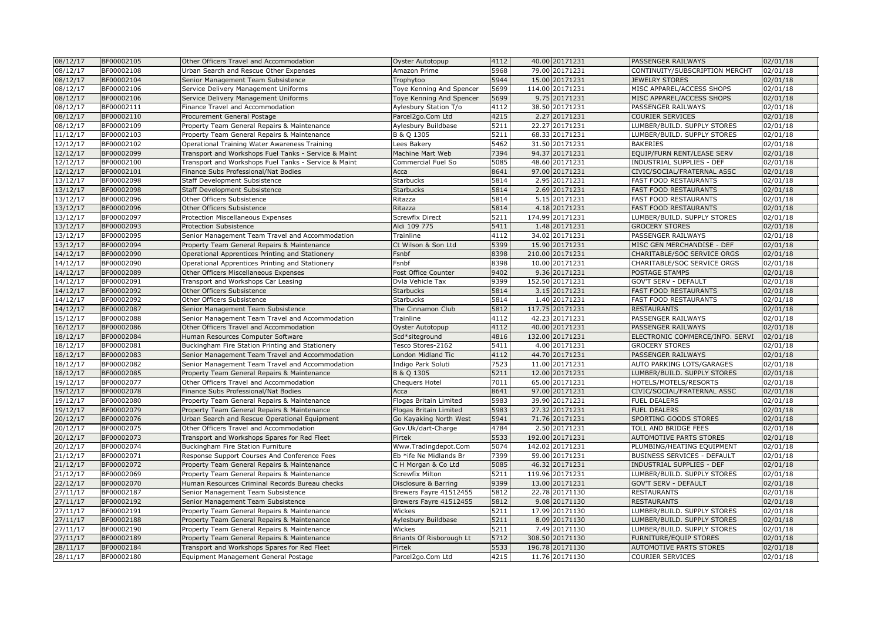| 08/12/17              | BF00002105 | Other Officers Travel and Accommodation              | Oyster Autotopup              | 4112             | 40.00 20171231  | PASSENGER RAILWAYS                 | 02/01/18 |
|-----------------------|------------|------------------------------------------------------|-------------------------------|------------------|-----------------|------------------------------------|----------|
| 08/12/17              | BF00002108 | Urban Search and Rescue Other Expenses               | Amazon Prime                  | 5968             | 79.00 20171231  | CONTINUITY/SUBSCRIPTION MERCHT     | 02/01/18 |
| 08/12/17              | BF00002104 | Senior Management Team Subsistence                   | Trophytoo                     | 5944             | 15.00 20171231  | <b>JEWELRY STORES</b>              | 02/01/18 |
| 08/12/17              | BF00002106 | Service Delivery Management Uniforms                 | Toye Kenning And Spencer      | 5699             | 114.00 20171231 | MISC APPAREL/ACCESS SHOPS          | 02/01/18 |
| 08/12/17              | BF00002106 | Service Delivery Management Uniforms                 | Toye Kenning And Spencer      | 5699             | 9.75 20171231   | MISC APPAREL/ACCESS SHOPS          | 02/01/18 |
| 08/12/17              | BF00002111 | Finance Travel and Accommodation                     | Aylesbury Station T/o         | 4112             | 38.50 20171231  | PASSENGER RAILWAYS                 | 02/01/18 |
| 08/12/17              | BF00002110 | Procurement General Postage                          | Parcel2go.Com Ltd             | 4215             | 2.27 20171231   | <b>COURIER SERVICES</b>            | 02/01/18 |
| 08/12/17              | BF00002109 | Property Team General Repairs & Maintenance          | Aylesbury Buildbase           | 5211             | 22.27 20171231  | LUMBER/BUILD. SUPPLY STORES        | 02/01/18 |
| 11/12/17              | BF00002103 | Property Team General Repairs & Maintenance          | B & Q 1305                    | 5211             | 68.33 20171231  | LUMBER/BUILD. SUPPLY STORES        | 02/01/18 |
| 12/12/17              | BF00002102 | Operational Training Water Awareness Training        | Lees Bakery                   | 5462             | 31.50 20171231  | <b>BAKERIES</b>                    | 02/01/18 |
| 12/12/17              | BF00002099 | Transport and Workshops Fuel Tanks - Service & Maint | Machine Mart Web              | 7394             | 94.37 20171231  | EQUIP/FURN RENT/LEASE SERV         | 02/01/18 |
| 12/12/17              | BF00002100 | Transport and Workshops Fuel Tanks - Service & Maint | Commercial Fuel So            | 5085             | 48.60 20171231  | INDUSTRIAL SUPPLIES - DEF          | 02/01/18 |
| 12/12/17              | BF00002101 | Finance Subs Professional/Nat Bodies                 | Асса                          | 8641             | 97.00 20171231  | CIVIC/SOCIAL/FRATERNAL ASSC        | 02/01/18 |
| 13/12/17              | BF00002098 | Staff Development Subsistence                        | <b>Starbucks</b>              | 5814             | 2.95 20171231   | <b>FAST FOOD RESTAURANTS</b>       | 02/01/18 |
| 13/12/17              | BF00002098 | Staff Development Subsistence                        | <b>Starbucks</b>              | 5814             | 2.69 20171231   | FAST FOOD RESTAURANTS              | 02/01/18 |
| 13/12/17              | BF00002096 | Other Officers Subsistence                           | Ritazza                       | 5814             | 5.15 20171231   | <b>FAST FOOD RESTAURANTS</b>       | 02/01/18 |
| 13/12/17              | BF00002096 | Other Officers Subsistence                           | Ritazza                       | 5814             | 4.18 20171231   | <b>FAST FOOD RESTAURANTS</b>       | 02/01/18 |
| 13/12/17              | BF00002097 | Protection Miscellaneous Expenses                    | <b>Screwfix Direct</b>        | 5211             | 174.99 20171231 | LUMBER/BUILD. SUPPLY STORES        | 02/01/18 |
| 13/12/17              | BF00002093 | Protection Subsistence                               | Aldi 109 775                  | 5411             | 1.48 20171231   | <b>GROCERY STORES</b>              | 02/01/18 |
| 13/12/17              | BF00002095 | Senior Management Team Travel and Accommodation      | Trainline                     | 4112             | 34.02 20171231  | PASSENGER RAILWAYS                 | 02/01/18 |
| 13/12/17              | BF00002094 | Property Team General Repairs & Maintenance          | Ct Wilson & Son Ltd           | 5399             | 15.90 20171231  | MISC GEN MERCHANDISE - DEF         | 02/01/18 |
| 14/12/17              | BF00002090 | Operational Apprentices Printing and Stationery      | Fsnbf                         | 8398             | 210.00 20171231 | CHARITABLE/SOC SERVICE ORGS        | 02/01/18 |
| 14/12/17              | BF00002090 | Operational Apprentices Printing and Stationery      | Fsnbf                         | 8398             | 10.00 20171231  | CHARITABLE/SOC SERVICE ORGS        | 02/01/18 |
| 14/12/17              | BF00002089 | Other Officers Miscellaneous Expenses                | Post Office Counter           | 9402             | 9.36 20171231   | POSTAGE STAMPS                     | 02/01/18 |
| 14/12/17              | BF00002091 | Transport and Workshops Car Leasing                  | Dvla Vehicle Tax              | 9399             | 152.50 20171231 | <b>GOV'T SERV - DEFAULT</b>        | 02/01/18 |
| 14/12/17              | BF00002092 | Other Officers Subsistence                           | <b>Starbucks</b>              | 5814             | 3.15 20171231   | <b>FAST FOOD RESTAURANTS</b>       | 02/01/18 |
| 14/12/17              | BF00002092 | Other Officers Subsistence                           | <b>Starbucks</b>              | 5814             | 1.40 20171231   | <b>FAST FOOD RESTAURANTS</b>       | 02/01/18 |
| 14/12/17              | BF00002087 | Senior Management Team Subsistence                   | The Cinnamon Club             | 5812             | 117.75 20171231 | <b>RESTAURANTS</b>                 | 02/01/18 |
| 15/12/17              | BF00002088 | Senior Management Team Travel and Accommodation      | Trainline                     | 4112             | 42.23 20171231  | PASSENGER RAILWAYS                 | 02/01/18 |
| 16/12/17              | BF00002086 | Other Officers Travel and Accommodation              | Oyster Autotopup              | 4112             | 40.00 20171231  | PASSENGER RAILWAYS                 | 02/01/18 |
| 18/12/17              | BF00002084 | Human Resources Computer Software                    | Scd*siteground                | 4816             | 132.00 20171231 | ELECTRONIC COMMERCE/INFO. SERVI    | 02/01/18 |
| 18/12/17              | BF00002081 | Buckingham Fire Station Printing and Stationery      | Tesco Stores-2162             | $\frac{1}{5411}$ | 4.00 20171231   | <b>GROCERY STORES</b>              | 02/01/18 |
| 18/12/17              | BF00002083 | Senior Management Team Travel and Accommodation      | London Midland Tic            | 4112             | 44.70 20171231  | PASSENGER RAILWAYS                 | 02/01/18 |
| 18/12/17              | BF00002082 | Senior Management Team Travel and Accommodation      | Indigo Park Soluti            | 7523             | 11.00 20171231  | AUTO PARKING LOTS/GARAGES          | 02/01/18 |
| 18/12/17              | BF00002085 | Property Team General Repairs & Maintenance          | B & Q 1305                    | 5211             | 12.00 20171231  | LUMBER/BUILD. SUPPLY STORES        | 02/01/18 |
| 19/12/17              | BF00002077 | Other Officers Travel and Accommodation              | Chequers Hotel                | 7011             | 65.00 20171231  | HOTELS/MOTELS/RESORTS              | 02/01/18 |
| 19/12/17              | BF00002078 | Finance Subs Professional/Nat Bodies                 | Acca                          | 8641             | 97.00 20171231  | CIVIC/SOCIAL/FRATERNAL ASSC        | 02/01/18 |
| 19/12/17              | BF00002080 | Property Team General Repairs & Maintenance          | Flogas Britain Limited        | 5983             | 39.90 20171231  | <b>FUEL DEALERS</b>                | 02/01/18 |
| 19/12/17              | BF00002079 | Property Team General Repairs & Maintenance          | <b>Flogas Britain Limited</b> | 5983             | 27.32 20171231  | <b>FUEL DEALERS</b>                | 02/01/18 |
| 20/12/17              | BF00002076 | Urban Search and Rescue Operational Equipment        | Go Kayaking North West        | 5941             | 71.76 20171231  | SPORTING GOODS STORES              | 02/01/18 |
| $20/12/\overline{17}$ | BF00002075 | Other Officers Travel and Accommodation              | Gov.Uk/dart-Charge            | 4784             | 2.50 20171231   | TOLL AND BRIDGE FEES               | 02/01/18 |
| 20/12/17              | BF00002073 | Transport and Workshops Spares for Red Fleet         | Pirtek                        | 5533             | 192.00 20171231 | AUTOMOTIVE PARTS STORES            | 02/01/18 |
| 20/12/17              | BF00002074 | Buckingham Fire Station Furniture                    | Www.Tradingdepot.Com          | 5074             | 142.02 20171231 | PLUMBING/HEATING EQUIPMENT         | 02/01/18 |
| 21/12/17              | BF00002071 | Response Support Courses And Conference Fees         | Eb *ife Ne Midlands Br        | 7399             | 59.00 20171231  | <b>BUSINESS SERVICES - DEFAULT</b> | 02/01/18 |
| 21/12/17              | BF00002072 | Property Team General Repairs & Maintenance          | C H Morgan & Co Ltd           | 5085             | 46.32 20171231  | INDUSTRIAL SUPPLIES - DEF          | 02/01/18 |
| 21/12/17              | BF00002069 | Property Team General Repairs & Maintenance          | <b>Screwfix Milton</b>        | 5211             | 119.96 20171231 | LUMBER/BUILD. SUPPLY STORES        | 02/01/18 |
| 22/12/17              | BF00002070 | Human Resources Criminal Records Bureau checks       | Disclosure & Barring          | 9399             | 13.00 20171231  | <b>GOV'T SERV - DEFAULT</b>        | 02/01/18 |
| 27/11/17              | BF00002187 | Senior Management Team Subsistence                   | Brewers Fayre 41512455        | 5812             | 22.78 20171130  | <b>RESTAURANTS</b>                 | 02/01/18 |
| 27/11/17              | BF00002192 | Senior Management Team Subsistence                   | Brewers Fayre 41512455        | 5812             | 9.08 20171130   | <b>RESTAURANTS</b>                 | 02/01/18 |
| 27/11/17              | BF00002191 | Property Team General Repairs & Maintenance          | Wickes                        | 5211             | 17.99 20171130  | LUMBER/BUILD. SUPPLY STORES        | 02/01/18 |
| 27/11/17              | BF00002188 | Property Team General Repairs & Maintenance          | Aylesbury Buildbase           | 5211             | 8.09 20171130   | LUMBER/BUILD. SUPPLY STORES        | 02/01/18 |
| 27/11/17              | BF00002190 | Property Team General Repairs & Maintenance          | Wickes                        | 5211             | 7.49 20171130   | LUMBER/BUILD. SUPPLY STORES        | 02/01/18 |
| 27/11/17              | BF00002189 | Property Team General Repairs & Maintenance          | Briants Of Risborough Lt      | 5712             | 308.50 20171130 | <b>FURNITURE/EQUIP STORES</b>      | 02/01/18 |
| 28/11/17              | BF00002184 | Transport and Workshops Spares for Red Fleet         | Pirtek                        | 5533             | 196.78 20171130 | AUTOMOTIVE PARTS STORES            | 02/01/18 |
| 28/11/17              | BF00002180 | Equipment Management General Postage                 | Parcel2go.Com Ltd             | 4215             | 11.76 20171130  | <b>COURIER SERVICES</b>            | 02/01/18 |